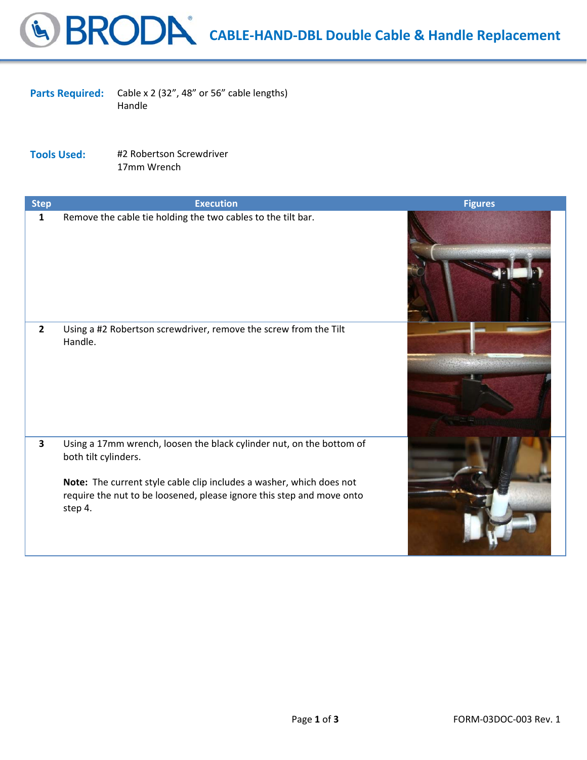**CABLE‐HAND‐DBL Double Cable & Handle Replacement**

Parts Required: Cable x 2 (32", 48" or 56" cable lengths) Handle

**Tools Used:** #2 Robertson Screwdriver 17mm Wrench

| <b>Step</b>             | <b>Execution</b>                                                                                                                                                                                                                                         | <b>Figures</b>    |
|-------------------------|----------------------------------------------------------------------------------------------------------------------------------------------------------------------------------------------------------------------------------------------------------|-------------------|
| $\mathbf{1}$            | Remove the cable tie holding the two cables to the tilt bar.                                                                                                                                                                                             |                   |
| $\overline{2}$          | Using a #2 Robertson screwdriver, remove the screw from the Tilt<br>Handle.                                                                                                                                                                              | TAR SENDER OR ANY |
| $\overline{\mathbf{3}}$ | Using a 17mm wrench, loosen the black cylinder nut, on the bottom of<br>both tilt cylinders.<br>Note: The current style cable clip includes a washer, which does not<br>require the nut to be loosened, please ignore this step and move onto<br>step 4. |                   |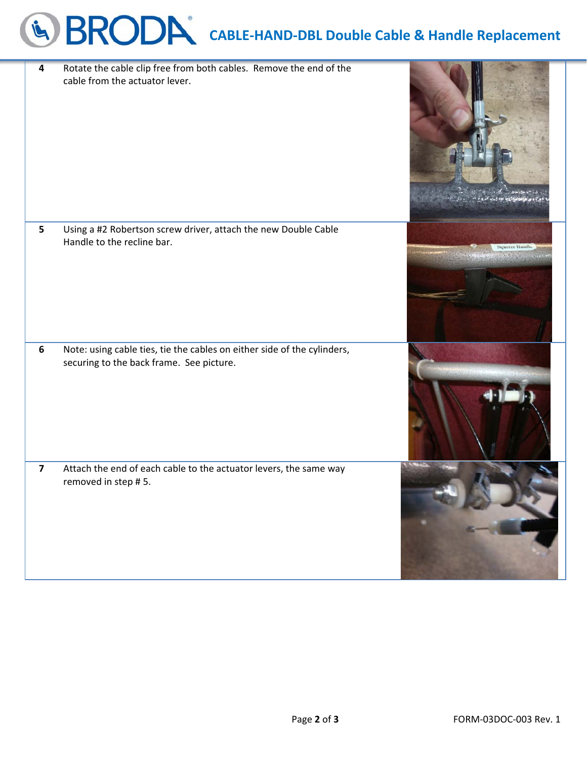## **CABLE‐HAND‐DBL Double Cable & Handle Replacement**

| 4                       | Rotate the cable clip free from both cables. Remove the end of the<br>cable from the actuator lever.                |                      |
|-------------------------|---------------------------------------------------------------------------------------------------------------------|----------------------|
| 5                       | Using a #2 Robertson screw driver, attach the new Double Cable<br>Handle to the recline bar.                        | <b>Squeeze Handk</b> |
| $6\phantom{1}$          | Note: using cable ties, tie the cables on either side of the cylinders,<br>securing to the back frame. See picture. |                      |
| $\overline{\mathbf{z}}$ | Attach the end of each cable to the actuator levers, the same way<br>removed in step #5.                            |                      |